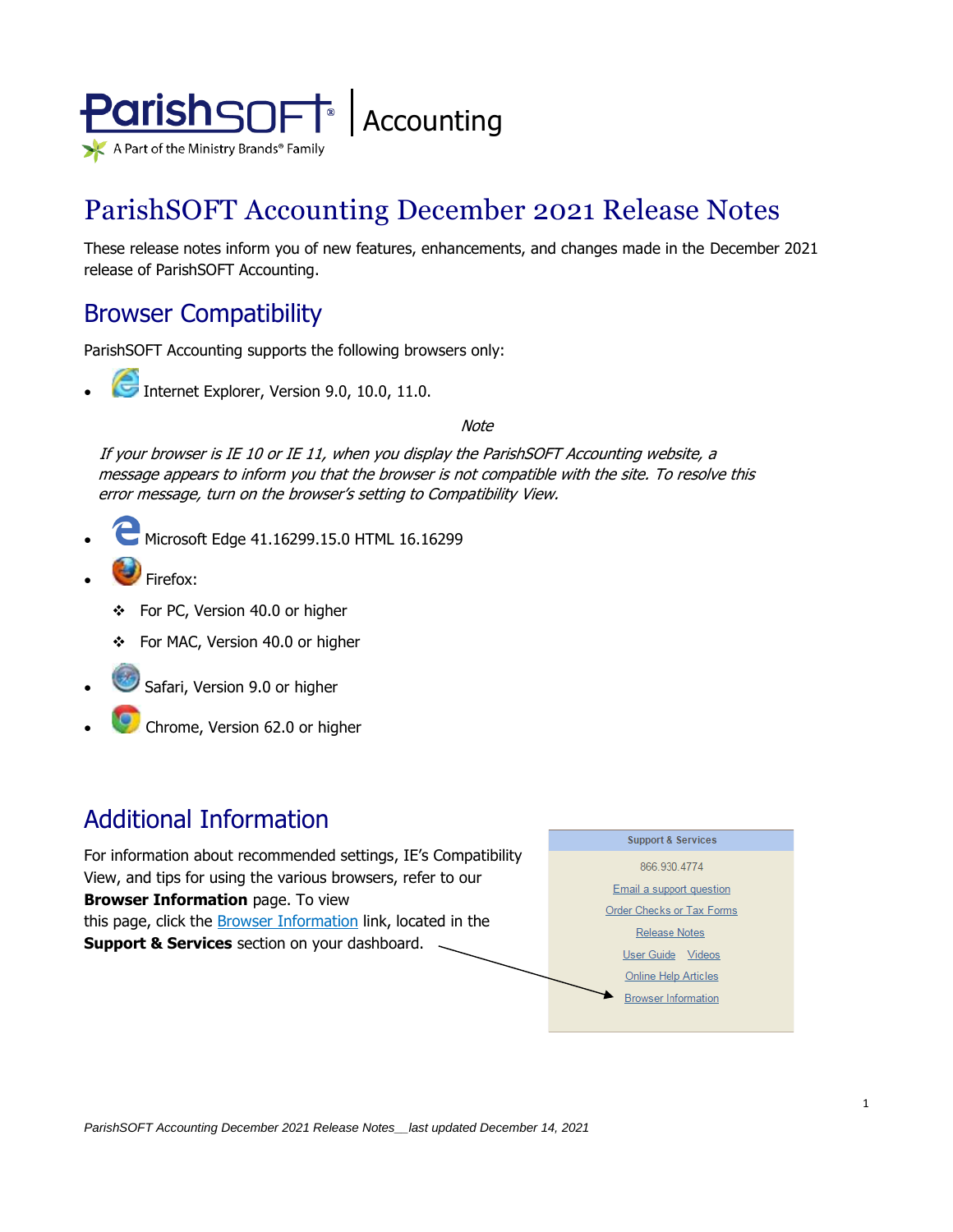

# ParishSOFT Accounting December 2021 Release Notes

These release notes inform you of new features, enhancements, and changes made in the December 2021 release of ParishSOFT Accounting.

### Browser Compatibility

ParishSOFT Accounting supports the following browsers only:

**• Internet Explorer, Version 9.0, 10.0, 11.0.** 

**Note** 

If your browser is IE 10 or IE 11, when you display the ParishSOFT Accounting website, a message appears to inform you that the browser is not compatible with the site. To resolve this error message, turn on the browser's setting to Compatibility View.

- Microsoft Edge 41.16299.15.0 HTML 16.16299
- Firefox:
	- ❖ For PC, Version 40.0 or higher
	- ❖ For MAC, Version 40.0 or higher
- Safari, Version 9.0 or higher
- Chrome, Version 62.0 or higher

# Additional Information

For information about recommended settings, IE's Compatibility View, and tips for using the various browsers, refer to our **Browser Information** page. To view this page, click the **Browser Information** link, located in the **Support & Services** section on your dashboard.

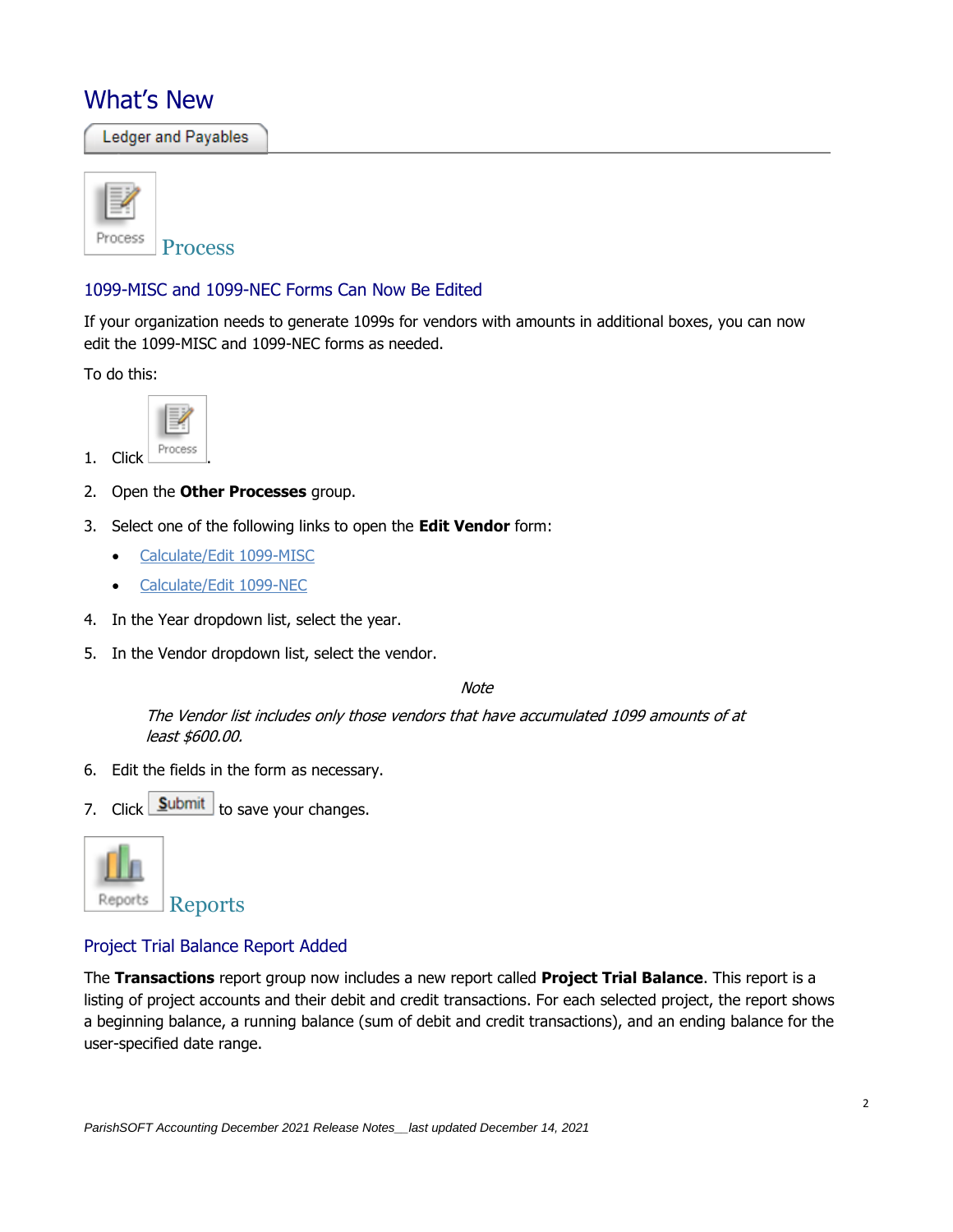## What's New

Ledger and Payables



#### 1099-MISC and 1099-NEC Forms Can Now Be Edited

If your organization needs to generate 1099s for vendors with amounts in additional boxes, you can now edit the 1099-MISC and 1099-NEC forms as needed.

To do this:



- 2. Open the **Other Processes** group.
- 3. Select one of the following links to open the **Edit Vendor** form:
	- Calculate/Edit 1099-MISC
	- Calculate/Edit 1099-NEC
- 4. In the Year dropdown list, select the year.
- 5. In the Vendor dropdown list, select the vendor.

**Note** 

The Vendor list includes only those vendors that have accumulated 1099 amounts of at least \$600.00.

- 6. Edit the fields in the form as necessary.
- 7. Click  $\boxed{\underline{\mathsf{Submit}}}$  to save your changes.



### Project Trial Balance Report Added

The **Transactions** report group now includes a new report called **Project Trial Balance**. This report is a listing of project accounts and their debit and credit transactions. For each selected project, the report shows a beginning balance, a running balance (sum of debit and credit transactions), and an ending balance for the user-specified date range.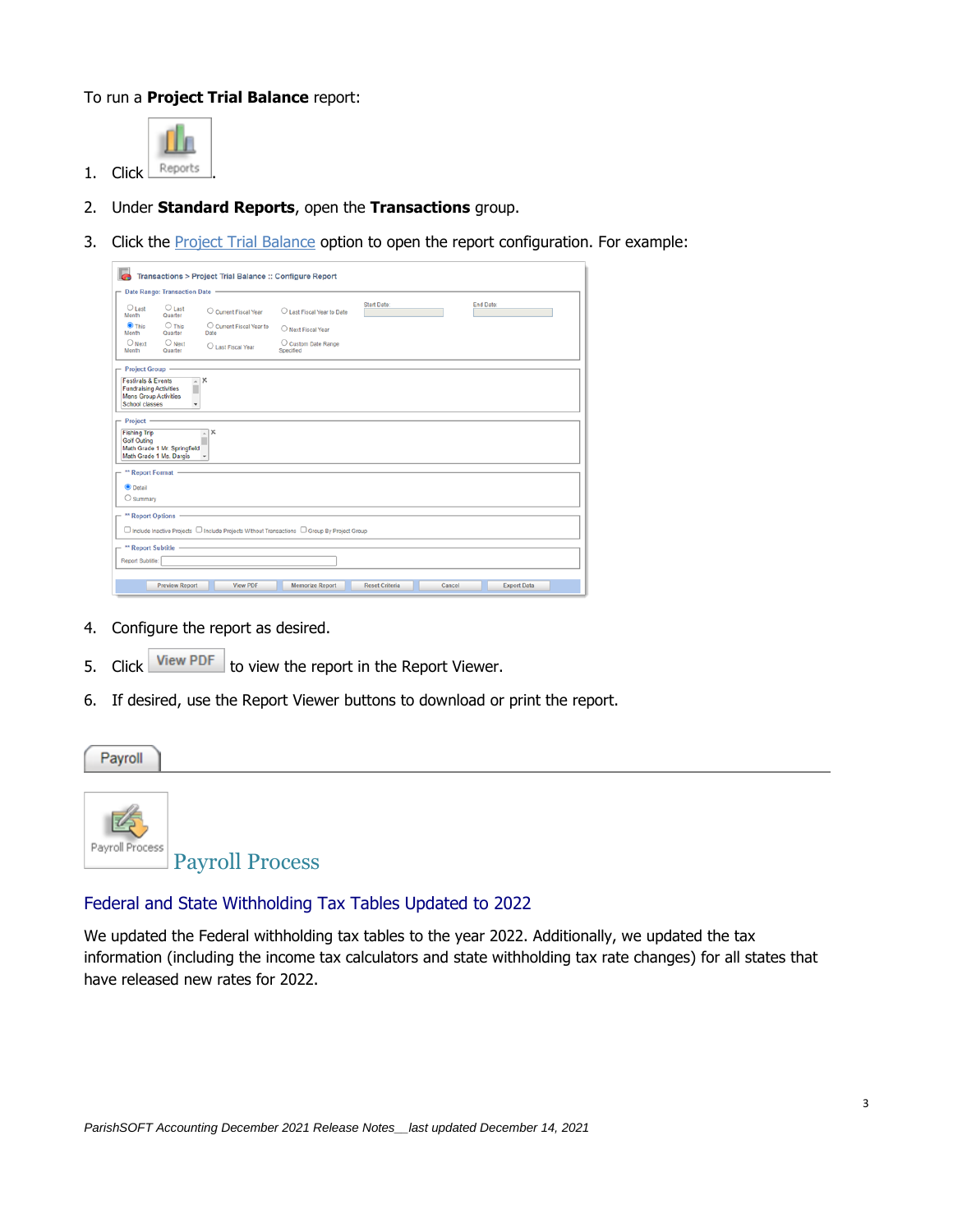#### To run a **Project Trial Balance** report:



- 2. Under **Standard Reports**, open the **Transactions** group.
- 3. Click the **Project Trial Balance** option to open the report configuration. For example:

|                                                                                                                         |                                                         | Transactions > Project Trial Balance :: Configure Report                                     |                                  |                       |        |                    |  |  |  |
|-------------------------------------------------------------------------------------------------------------------------|---------------------------------------------------------|----------------------------------------------------------------------------------------------|----------------------------------|-----------------------|--------|--------------------|--|--|--|
| -                                                                                                                       | Date Range: Transaction Date -                          |                                                                                              |                                  |                       |        |                    |  |  |  |
| $O$ Last<br>Month                                                                                                       | $O$ Last<br>Quarter                                     | C Current Fiscal Year                                                                        | O Last Fiscal Year to Date       | <b>Start Date:</b>    |        | End Date:          |  |  |  |
| $\bullet$ This<br>Month                                                                                                 | $O$ This<br>Quarter                                     | C Current Fiscal Year to<br>Date                                                             | O Next Fiscal Year               |                       |        |                    |  |  |  |
| $\bigcirc$ Next<br>Month                                                                                                | $\bigcirc$ Next<br>Quarter                              | O Last Fiscal Year                                                                           | C Custom Date Range<br>Specified |                       |        |                    |  |  |  |
| Project Group -                                                                                                         |                                                         |                                                                                              |                                  |                       |        |                    |  |  |  |
| <b>Festivals &amp; Events</b><br><b>Fundraising Activities</b><br><b>Mens Group Activities</b><br><b>School classes</b> |                                                         | ×<br>$\overline{a}$<br>٠                                                                     |                                  |                       |        |                    |  |  |  |
| $-$ Project -<br><b>Fishing Trip</b><br><b>Golf Outing</b>                                                              | Math Grade 1 Mr. Springfield<br>Math Grade 1 Ms. Dargis | x<br>$\!\cdot\!$                                                                             |                                  |                       |        |                    |  |  |  |
| ** Report Format -                                                                                                      |                                                         |                                                                                              |                                  |                       |        |                    |  |  |  |
| $\bullet$ Detail<br>$\bigcirc$ Summary                                                                                  |                                                         |                                                                                              |                                  |                       |        |                    |  |  |  |
|                                                                                                                         | ** Report Options -                                     |                                                                                              |                                  |                       |        |                    |  |  |  |
|                                                                                                                         |                                                         | □ Include Inactive Projects □ Include Projects Without Transactions □ Group By Project Group |                                  |                       |        |                    |  |  |  |
| - ** Report Subtitle -                                                                                                  |                                                         |                                                                                              |                                  |                       |        |                    |  |  |  |
| Report Subtitle:                                                                                                        |                                                         |                                                                                              |                                  |                       |        |                    |  |  |  |
|                                                                                                                         | <b>Preview Report</b>                                   | <b>View PDF</b>                                                                              | <b>Memorize Report</b>           | <b>Reset Criteria</b> | Cancel | <b>Export Data</b> |  |  |  |

- 4. Configure the report as desired.
- 5. Click View PDF to view the report in the Report Viewer.
- 6. If desired, use the Report Viewer buttons to download or print the report.



#### Federal and State Withholding Tax Tables Updated to 2022

We updated the Federal withholding tax tables to the year 2022. Additionally, we updated the tax information (including the income tax calculators and state withholding tax rate changes) for all states that have released new rates for 2022.